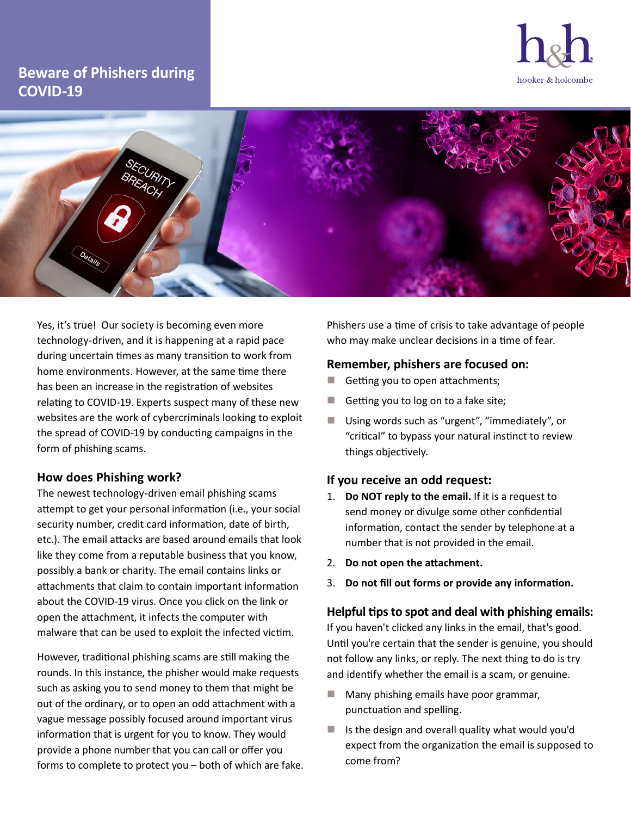# **Beware of Phishers during COVID-19**





Yes, it's true! Our society is becoming even more technology-driven, and it is happening at a rapid pace during uncertain times as many transition to work from home environments. However, at the same time there has been an increase in the registration of websites relating to COVID-19. Experts suspect many of these new websites are the work of cybercriminals looking to exploit the spread of COVID-19 by conducting campaigns in the form of phishing scams.

## **How does Phishing work?**

The newest technology-driven email phishing scams attempt to get your personal information (i.e., your social security number, credit card information, date of birth, etc.). The email attacks are based around emails that look like they come from a reputable business that you know, possibly a bank or charity. The email contains links or attachments that claim to contain important information about the COVID-19 virus. Once you click on the link or open the attachment, it infects the computer with malware that can be used to exploit the infected victim.

However, traditional phishing scams are still making the rounds. In this instance, the phisher would make requests such as asking you to send money to them that might be out of the ordinary, or to open an odd attachment with a vague message possibly focused around important virus information that is urgent for you to know. They would provide a phone number that you can call or offer you forms to complete to protect you – both of which are fake. Phishers use a time of crisis to take advantage of people who may make unclear decisions in a time of fear.

## **Remember, phishers are focused on:**

- Getting you to open attachments;
- Getting you to log on to a fake site;
- Using words such as "urgent", "immediately", or "critical" to bypass your natural instinct to review things objectively.

## **If you receive an odd request:**

- 1. **Do NOT reply to the email.** If it is a request to send money or divulge some other confidential information, contact the sender by telephone at a number that is not provided in the email.
- 2. **Do not open the attachment.**
- 3. **Do not fill out forms or provide any information.**

### **Helpful tips to spot and deal with phishing emails:**

If you haven't clicked any links in the email, that's good. Until you're certain that the sender is genuine, you should not follow any links, or reply. The next thing to do is try and identify whether the email is a scam, or genuine.

- Many phishing emails have poor grammar, punctuation and spelling.
- Is the design and overall quality what would you'd expect from the organization the email is supposed to come from?